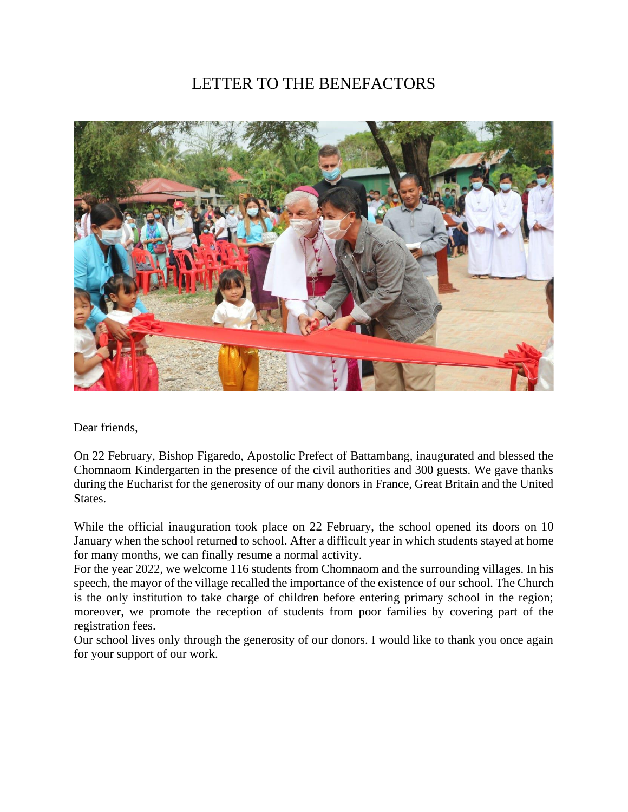## LETTER TO THE BENEFACTORS



Dear friends,

On 22 February, Bishop Figaredo, Apostolic Prefect of Battambang, inaugurated and blessed the Chomnaom Kindergarten in the presence of the civil authorities and 300 guests. We gave thanks during the Eucharist for the generosity of our many donors in France, Great Britain and the United States.

While the official inauguration took place on 22 February, the school opened its doors on 10 January when the school returned to school. After a difficult year in which students stayed at home for many months, we can finally resume a normal activity.

For the year 2022, we welcome 116 students from Chomnaom and the surrounding villages. In his speech, the mayor of the village recalled the importance of the existence of our school. The Church is the only institution to take charge of children before entering primary school in the region; moreover, we promote the reception of students from poor families by covering part of the registration fees.

Our school lives only through the generosity of our donors. I would like to thank you once again for your support of our work.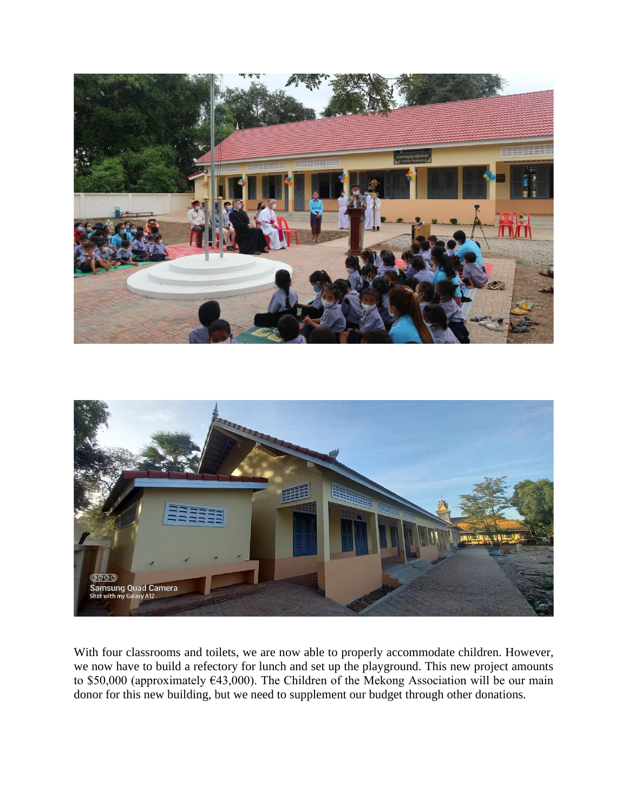



With four classrooms and toilets, we are now able to properly accommodate children. However, we now have to build a refectory for lunch and set up the playground. This new project amounts to \$50,000 (approximately €43,000). The Children of the Mekong Association will be our main donor for this new building, but we need to supplement our budget through other donations.